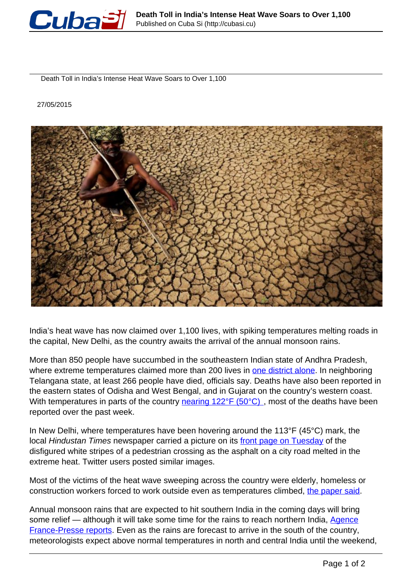

Death Toll in India's Intense Heat Wave Soars to Over 1,100

27/05/2015



India's heat wave has now claimed over 1,100 lives, with spiking temperatures melting roads in the capital, New Delhi, as the country awaits the arrival of the annual monsoon rains.

More than 850 people have succumbed in the southeastern Indian state of Andhra Pradesh, where extreme temperatures claimed more than 200 lives in [one district alone](http://www.ptinews.com/news/6075484_Heat-wave--Death-toll-crosses-852-mark-in-AP-.html). In neighboring Telangana state, at least 266 people have died, officials say. Deaths have also been reported in the eastern states of Odisha and West Bengal, and in Gujarat on the country's western coast. With temperatures in parts of the country nearing 122°F (50°C), most of the deaths have been reported over the past week.

In New Delhi, where temperatures have been hovering around the 113°F (45°C) mark, the local Hindustan Times newspaper carried a picture on its front page on Tuesday of the disfigured white stripes of a pedestrian crossing as the asphalt on a city road melted in the extreme heat. Twitter users posted similar images.

Most of the victims of the heat wave sweeping across the country were elderly, homeless or construction workers forced to work outside even as temperatures climbed, the paper said.

Annual monsoon rains that are expected to hit southern India in the coming days will bring some relief — although it will take some time for the rains to reach northern India, Agence France-Presse reports. Even as the rains are forecast to arrive in the south of the country, meteorologists expect above normal temperatures in north and central India until the weekend,